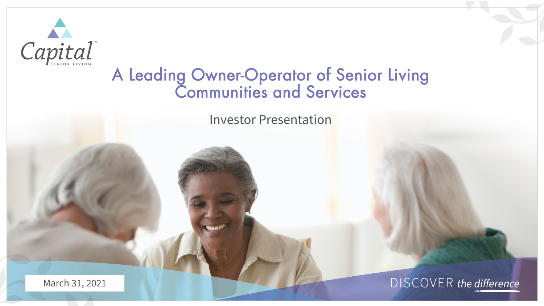

# A Leading Owner-Operator of Senior Living Communities and Services

Investor Presentation

March 31, 2021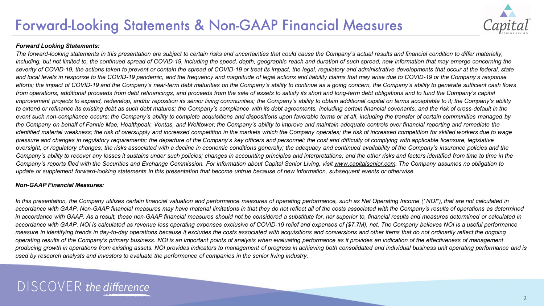

#### *Forward Looking Statements:*

*The forward-looking statements in this presentation are subject to certain risks and uncertainties that could cause the Company's actual results and financial condition to differ materially,*  including, but not limited to, the continued spread of COVID-19, including the speed, depth, geographic reach and duration of such spread, new information that may emerge concerning the severity of COVID-19, the actions taken to prevent or contain the spread of COVID-19 or treat its impact, the legal, regulatory and administrative developments that occur at the federal, state and local levels in response to the COVID-19 pandemic, and the frequency and magnitude of legal actions and liability claims that may arise due to COVID-19 or the Company's response *efforts; the impact of COVID-19 and the Company's near-term debt maturities on the Company's ability to continue as a going concern, the Company's ability to generate sufficient cash flows from operations, additional proceeds from debt refinancings, and proceeds from the sale of assets to satisfy its short and long-term debt obligations and to fund the Company's capital improvement projects to expand, redevelop, and/or reposition its senior living communities; the Company's ability to obtain additional capital on terms acceptable to it; the Company's ability*  to extend or refinance its existing debt as such debt matures; the Company's compliance with its debt agreements, including certain financial covenants, and the risk of cross-default in the *event such non-compliance occurs; the Company's ability to complete acquisitions and dispositions upon favorable terms or at all, including the transfer of certain communities managed by the Company on behalf of Fannie Mae, Healthpeak, Ventas, and Welltower; the Company's ability to improve and maintain adequate controls over financial reporting and remediate the*  identified material weakness; the risk of oversupply and increased competition in the markets which the Company operates; the risk of increased competition for skilled workers due to wage *pressure and changes in regulatory requirements; the departure of the Company's key officers and personnel; the cost and difficulty of complying with applicable licensure, legislative oversight, or regulatory changes; the risks associated with a decline in economic conditions generally; the adequacy and continued availability of the Company's insurance policies and the Company's ability to recover any losses it sustains under such policies; changes in accounting principles and interpretations; and the other risks and factors identified from time to time in the*  Company's reports filed with the Securities and Exchange Commission. For information about Capital Senior Living, visit [www.capitalsenior.com.](http://www.capitalsenior.com/) The Company assumes no obligation to *update or supplement forward-looking statements in this presentation that become untrue because of new information, subsequent events or otherwise.*

#### *Non-GAAP Financial Measures:*

*In this presentation, the Company utilizes certain financial valuation and performance measures of operating performance, such as Net Operating Income (''NOI"), that are not calculated in*  accordance with GAAP. Non-GAAP financial measures may have material limitations in that they do not reflect all of the costs associated with the Company's results of operations as determined *in accordance with GAAP. As a result, these non-GAAP financial measures should not be considered a substitute for, nor superior to, financial results and measures determined or calculated in accordance with GAAP. NOI is calculated as revenue less operating expenses exclusive of COVID-19 relief and expenses of (\$7.7M), net. The Company believes NOI is a useful performance measure in identifying trends in day-to-day operations because it excludes the costs associated with acquisitions and conversions and other items that do not ordinarily reflect the ongoing operating results of the Company's primary business. NOI is an important points of analysis when evaluating performance as it provides an indication of the effectiveness of management producing growth in operations from existing assets. NOI provides indicators to management of progress in achieving both consolidated and individual business unit operating performance and is used by research analysts and investors to evaluate the performance of companies in the senior living industry.*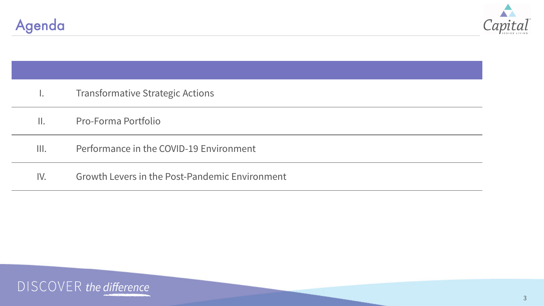

- I. Transformative Strategic Actions
- II. Pro-Forma Portfolio
- III. Performance in the COVID-19 Environment
- IV. Growth Levers in the Post-Pandemic Environment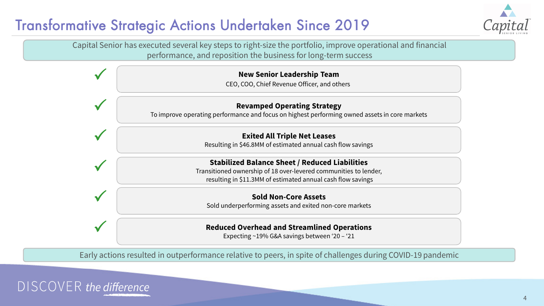## Transformative Strategic Actions Undertaken Since 2019



Capital Senior has executed several key steps to right-size the portfolio, improve operational and financial performance, and reposition the business for long-term success

### **New Senior Leadership Team**

CEO, COO, Chief Revenue Officer, and others

### **Revamped Operating Strategy**

To improve operating performance and focus on highest performing owned assets in core markets

### **Exited All Triple Net Leases**

Resulting in \$46.8MM of estimated annual cash flow savings

#### **Stabilized Balance Sheet / Reduced Liabilities**

Transitioned ownership of 18 over-levered communities to lender, resulting in \$11.3MM of estimated annual cash flow savings

#### **Sold Non-Core Assets**

Sold underperforming assets and exited non-core markets

#### **Reduced Overhead and Streamlined Operations**

Expecting ~19% G&A savings between '20 – '21

Early actions resulted in outperformance relative to peers, in spite of challenges during COVID-19 pandemic

### **DISCOVER** the difference

 $\checkmark$ 

 $\checkmark$ 

 $\checkmark$ 

 $\checkmark$ 

 $\checkmark$ 

 $\checkmark$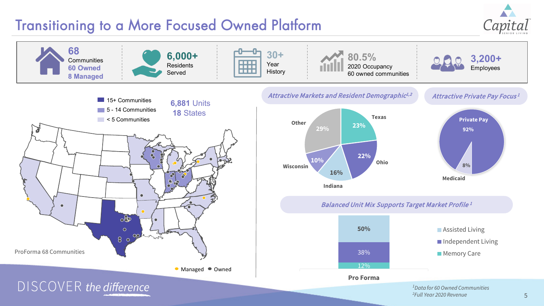## Transitioning to a More Focused Owned Platform



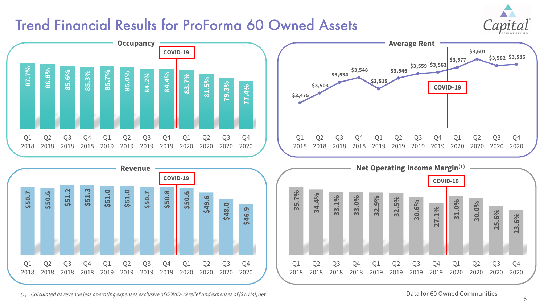### Trend Financial Results for ProForma 60 Owned Assets





*(1) Calculated as revenue less operating expenses exclusive of COVID-19 relief and expenses of (\$7.7M), net* Data for 60 Owned Communities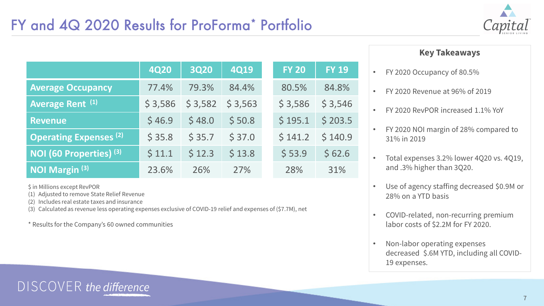

|                                    | <b>4Q20</b> | <b>3Q20</b> | <b>4Q19</b> | <b>FY 20</b> | <b>FY 19</b> |
|------------------------------------|-------------|-------------|-------------|--------------|--------------|
| <b>Average Occupancy</b>           | 77.4%       | 79.3%       | 84.4%       | 80.5%        | 84.8%        |
| <b>Average Rent (1)</b>            | \$3,586     | \$3,582     | \$3,563     | \$3,586      | \$3,546      |
| <b>Revenue</b>                     | \$46.9      | \$48.0      | \$50.8      | \$195.1      | \$203.5      |
| <b>Operating Expenses (2)</b>      | \$35.8      | \$35.7      | \$37.0      | \$141.2      | \$140.9      |
| NOI (60 Properties) <sup>(3)</sup> | \$11.1      | \$12.3      | \$13.8      | \$53.9       | \$62.6       |
| NOI Margin <sup>(3)</sup>          | 23.6%       | 26%         | 27%         | 28%          | 31%          |

\$ in Millions except RevPOR

(1) Adjusted to remove State Relief Revenue

(2) Includes real estate taxes and insurance

(3) Calculated as revenue less operating expenses exclusive of COVID-19 relief and expenses of (\$7.7M), net

\* Results for the Company's 60 owned communities

### **Key Takeaways**

- FY 2020 Occupancy of 80.5%
- FY 2020 Revenue at 96% of 2019
- FY 2020 RevPOR increased 1.1% YoY
- FY 2020 NOI margin of 28% compared to 31% in 2019
- Total expenses 3.2% lower 4Q20 vs. 4Q19, and .3% higher than 3Q20.
- Use of agency staffing decreased \$0.9M or 28% on a YTD basis
- COVID-related, non-recurring premium labor costs of \$2.2M for FY 2020.
- Non-labor operating expenses decreased \$.6M YTD, including all COVID-19 expenses.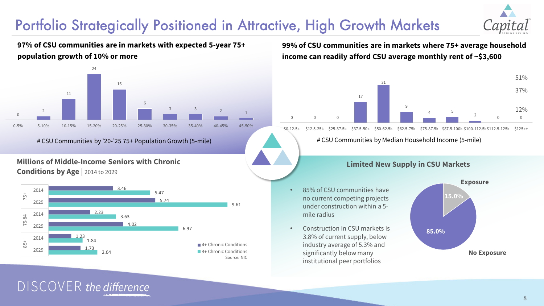# Portfolio Strategically Positioned in Attractive, High Growth Markets



**97% of CSU communities are in markets with expected 5-year 75+ population growth of 10% or more**



# CSU Communities by '20-'25 75+ Population Growth (5-mile)

**Millions of Middle-Income Seniors with Chronic Conditions by Age** | 2014 to 2029



**99% of CSU communities are in markets where 75+ average household income can readily afford CSU average monthly rent of ~\$3,600**



# CSU Communities by Median Household Income (5-mile)

#### **Limited New Supply in CSU Markets**

- 85% of CSU communities have no current competing projects under construction within a 5 mile radius
- Construction in CSU markets is 3.8% of current supply, below industry average of 5.3% and significantly below many institutional peer portfolios

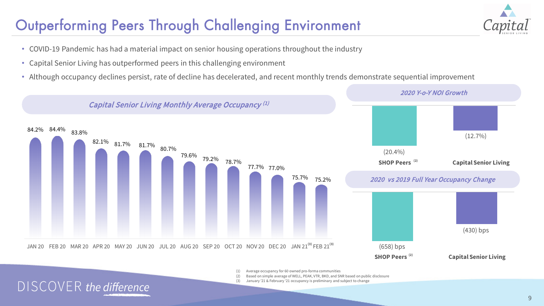# Outperforming Peers Through Challenging Environment



- COVID-19 Pandemic has had a material impact on senior housing operations throughout the industry
- Capital Senior Living has outperformed peers in this challenging environment
- Although occupancy declines persist, rate of decline has decelerated, and recent monthly trends demonstrate sequential improvement



(1) Average occupancy for 60 owned pro-forma communities

(2) Based on simple average of WELL, PEAK, VTR, BKD, and SNR based on public disclosure

(3) January '21 & February '21 occupancy is preliminary and subject to change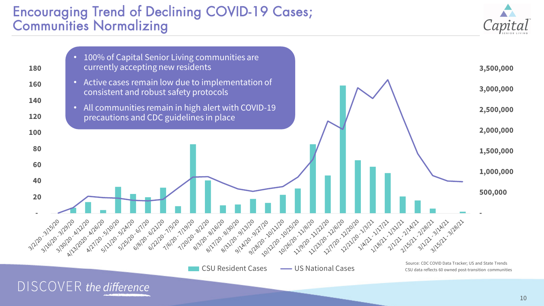### Encouraging Trend of Declining COVID-19 Cases; Communities Normalizing



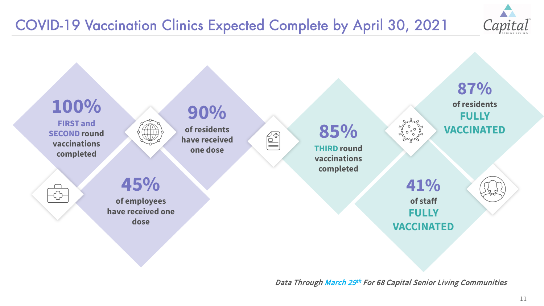

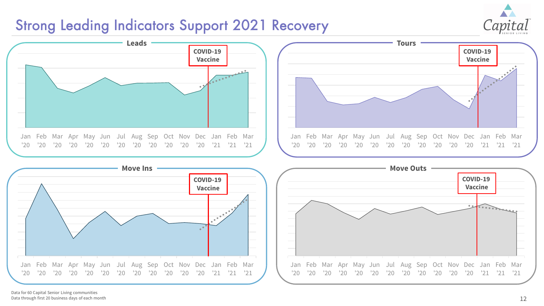# Strong Leading Indicators Support 2021 Recovery





Data for 60 Capital Senior Living communities Data through first 20 business days of each month